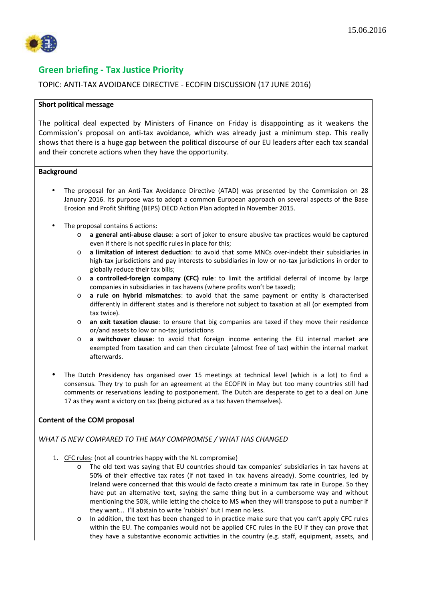

# **Green briefing - Tax Justice Priority**

# TOPIC: ANTI-TAX AVOIDANCE DIRECTIVE - ECOFIN DISCUSSION (17 JUNE 2016)

### **Short political message**

The political deal expected by Ministers of Finance on Friday is disappointing as it weakens the Commission's proposal on anti-tax avoidance, which was already just a minimum step. This really shows that there is a huge gap between the political discourse of our EU leaders after each tax scandal and their concrete actions when they have the opportunity.

### **Background**

- The proposal for an Anti-Tax Avoidance Directive (ATAD) was presented by the Commission on 28 January 2016. Its purpose was to adopt a common European approach on several aspects of the Base Erosion and Profit Shifting (BEPS) OECD Action Plan adopted in November 2015.
- The proposal contains 6 actions:
	- o **a general anti-abuse clause**: a sort of joker to ensure abusive tax practices would be captured even if there is not specific rules in place for this;
	- o **a limitation of interest deduction**: to avoid that some MNCs over-indebt their subsidiaries in high-tax jurisdictions and pay interests to subsidiaries in low or no-tax jurisdictions in order to globally reduce their tax bills;
	- o **a controlled-foreign company (CFC) rule**: to limit the artificial deferral of income by large companies in subsidiaries in tax havens (where profits won't be taxed);
	- o **a rule on hybrid mismatches**: to avoid that the same payment or entity is characterised differently in different states and is therefore not subject to taxation at all (or exempted from tax twice).
	- o **an exit taxation clause**: to ensure that big companies are taxed if they move their residence or/and assets to low or no-tax jurisdictions
	- o **a switchover clause**: to avoid that foreign income entering the EU internal market are exempted from taxation and can then circulate (almost free of tax) within the internal market afterwards.
- The Dutch Presidency has organised over 15 meetings at technical level (which is a lot) to find a consensus. They try to push for an agreement at the ECOFIN in May but too many countries still had comments or reservations leading to postponement. The Dutch are desperate to get to a deal on June 17 as they want a victory on tax (being pictured as a tax haven themselves).

## **Content of the COM proposal**

## *WHAT IS NEW COMPARED TO THE MAY COMPROMISE / WHAT HAS CHANGED*

- 1. CFC rules: (not all countries happy with the NL compromise)
	- o The old text was saying that EU countries should tax companies' subsidiaries in tax havens at 50% of their effective tax rates (if not taxed in tax havens already). Some countries, led by Ireland were concerned that this would de facto create a minimum tax rate in Europe. So they have put an alternative text, saying the same thing but in a cumbersome way and without mentioning the 50%, while letting the choice to MS when they will transpose to put a number if they want... I'll abstain to write 'rubbish' but I mean no less.
	- o In addition, the text has been changed to in practice make sure that you can't apply CFC rules within the EU. The companies would not be applied CFC rules in the EU if they can prove that they have a substantive economic activities in the country (e.g. staff, equipment, assets, and